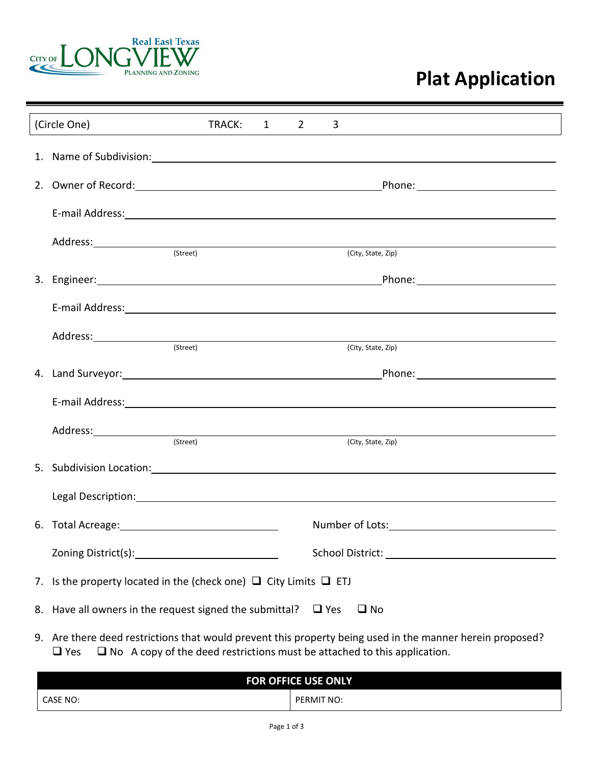

## **Plat Application**

| (Circle One) |                                                                    | TRACK:                                                                      | 1 | $\overline{2}$ | 3 |                                                                                                           |  |
|--------------|--------------------------------------------------------------------|-----------------------------------------------------------------------------|---|----------------|---|-----------------------------------------------------------------------------------------------------------|--|
|              |                                                                    |                                                                             |   |                |   |                                                                                                           |  |
|              |                                                                    |                                                                             |   |                |   |                                                                                                           |  |
|              |                                                                    |                                                                             |   |                |   |                                                                                                           |  |
|              | Address: (Street)                                                  |                                                                             |   |                |   |                                                                                                           |  |
|              |                                                                    |                                                                             |   |                |   | (City, State, Zip)                                                                                        |  |
|              |                                                                    |                                                                             |   |                |   | __Phone: _________________________________                                                                |  |
|              |                                                                    |                                                                             |   |                |   |                                                                                                           |  |
|              | (Street)                                                           |                                                                             |   |                |   |                                                                                                           |  |
|              |                                                                    |                                                                             |   |                |   | (City, State, Zip)                                                                                        |  |
|              |                                                                    |                                                                             |   |                |   |                                                                                                           |  |
|              |                                                                    |                                                                             |   |                |   |                                                                                                           |  |
|              |                                                                    |                                                                             |   |                |   |                                                                                                           |  |
|              | (Street)                                                           |                                                                             |   |                |   | (City, State, Zip)                                                                                        |  |
|              |                                                                    |                                                                             |   |                |   |                                                                                                           |  |
|              |                                                                    |                                                                             |   |                |   |                                                                                                           |  |
|              |                                                                    |                                                                             |   |                |   | Number of Lots: Number of Lots:                                                                           |  |
|              |                                                                    |                                                                             |   |                |   |                                                                                                           |  |
|              |                                                                    | 7. Is the property located in the (check one) $\Box$ City Limits $\Box$ ETJ |   |                |   |                                                                                                           |  |
|              | 8. Have all owners in the request signed the submittal? $\Box$ Yes |                                                                             |   |                |   | $\square$ No                                                                                              |  |
|              |                                                                    |                                                                             |   |                |   | 9. Are there deed restrictions that would prevent this property being used in the manner herein proposed? |  |

 $\Box$  Yes  $\Box$  No A copy of the deed restrictions must be attached to this application.

| <b>FOR OFFICE USE ONLY</b> |                   |  |  |  |  |  |  |
|----------------------------|-------------------|--|--|--|--|--|--|
| CASE NO:                   | <b>PERMIT NO:</b> |  |  |  |  |  |  |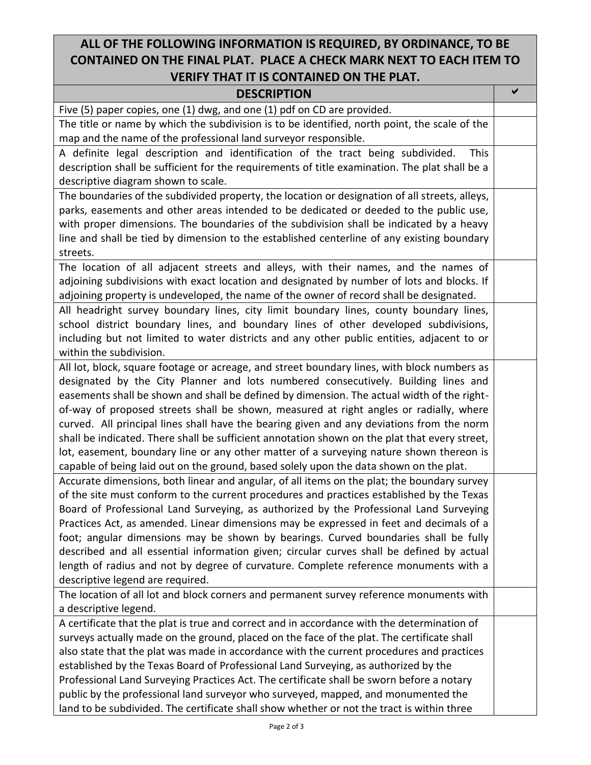## **ALL OF THE FOLLOWING INFORMATION IS REQUIRED, BY ORDINANCE, TO BE CONTAINED ON THE FINAL PLAT. PLACE A CHECK MARK NEXT TO EACH ITEM TO VERIFY THAT IT IS CONTAINED ON THE PLAT.**

| <b>THAT IT IS CONTAINLE ON THE LEAT</b>                                                        |   |
|------------------------------------------------------------------------------------------------|---|
| <b>DESCRIPTION</b>                                                                             | ✔ |
| Five (5) paper copies, one (1) dwg, and one (1) pdf on CD are provided.                        |   |
| The title or name by which the subdivision is to be identified, north point, the scale of the  |   |
| map and the name of the professional land surveyor responsible.                                |   |
| A definite legal description and identification of the tract being subdivided.<br><b>This</b>  |   |
| description shall be sufficient for the requirements of title examination. The plat shall be a |   |
| descriptive diagram shown to scale.                                                            |   |
| The boundaries of the subdivided property, the location or designation of all streets, alleys, |   |
| parks, easements and other areas intended to be dedicated or deeded to the public use,         |   |
| with proper dimensions. The boundaries of the subdivision shall be indicated by a heavy        |   |
| line and shall be tied by dimension to the established centerline of any existing boundary     |   |
| streets.                                                                                       |   |
| The location of all adjacent streets and alleys, with their names, and the names of            |   |
| adjoining subdivisions with exact location and designated by number of lots and blocks. If     |   |
| adjoining property is undeveloped, the name of the owner of record shall be designated.        |   |
| All headright survey boundary lines, city limit boundary lines, county boundary lines,         |   |
| school district boundary lines, and boundary lines of other developed subdivisions,            |   |
| including but not limited to water districts and any other public entities, adjacent to or     |   |
| within the subdivision.                                                                        |   |
| All lot, block, square footage or acreage, and street boundary lines, with block numbers as    |   |
| designated by the City Planner and lots numbered consecutively. Building lines and             |   |
| easements shall be shown and shall be defined by dimension. The actual width of the right-     |   |
| of-way of proposed streets shall be shown, measured at right angles or radially, where         |   |
| curved. All principal lines shall have the bearing given and any deviations from the norm      |   |
| shall be indicated. There shall be sufficient annotation shown on the plat that every street,  |   |
| lot, easement, boundary line or any other matter of a surveying nature shown thereon is        |   |
| capable of being laid out on the ground, based solely upon the data shown on the plat.         |   |
| Accurate dimensions, both linear and angular, of all items on the plat; the boundary survey    |   |
| of the site must conform to the current procedures and practices established by the Texas      |   |
| Board of Professional Land Surveying, as authorized by the Professional Land Surveying         |   |
| Practices Act, as amended. Linear dimensions may be expressed in feet and decimals of a        |   |
| foot; angular dimensions may be shown by bearings. Curved boundaries shall be fully            |   |
| described and all essential information given; circular curves shall be defined by actual      |   |
| length of radius and not by degree of curvature. Complete reference monuments with a           |   |
| descriptive legend are required.                                                               |   |
| The location of all lot and block corners and permanent survey reference monuments with        |   |
| a descriptive legend.                                                                          |   |
| A certificate that the plat is true and correct and in accordance with the determination of    |   |
| surveys actually made on the ground, placed on the face of the plat. The certificate shall     |   |
| also state that the plat was made in accordance with the current procedures and practices      |   |
| established by the Texas Board of Professional Land Surveying, as authorized by the            |   |
| Professional Land Surveying Practices Act. The certificate shall be sworn before a notary      |   |
| public by the professional land surveyor who surveyed, mapped, and monumented the              |   |
| land to be subdivided. The certificate shall show whether or not the tract is within three     |   |